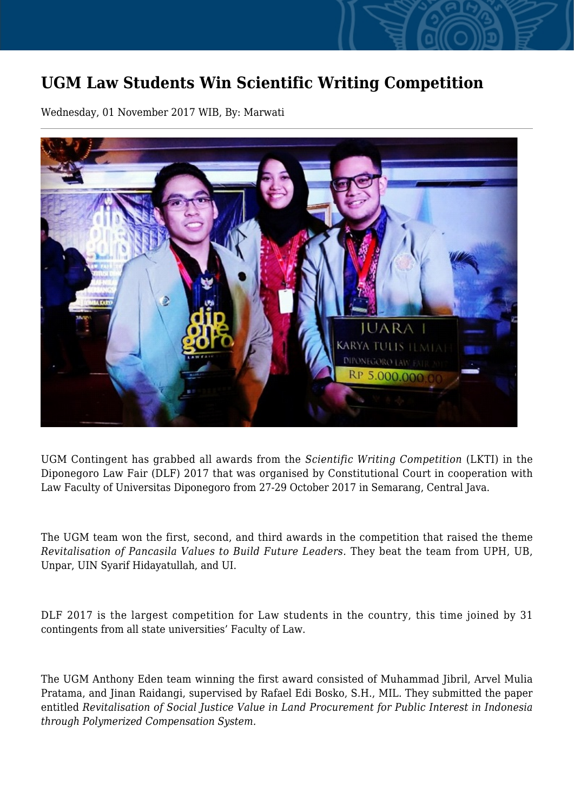## **UGM Law Students Win Scientific Writing Competition**

Wednesday, 01 November 2017 WIB, By: Marwati



UGM Contingent has grabbed all awards from the *Scientific Writing Competition* (LKTI) in the Diponegoro Law Fair (DLF) 2017 that was organised by Constitutional Court in cooperation with Law Faculty of Universitas Diponegoro from 27-29 October 2017 in Semarang, Central Java.

The UGM team won the first, second, and third awards in the competition that raised the theme *Revitalisation of Pancasila Values to Build Future Leaders.* They beat the team from UPH, UB, Unpar, UIN Syarif Hidayatullah, and UI.

DLF 2017 is the largest competition for Law students in the country, this time joined by 31 contingents from all state universities' Faculty of Law.

The UGM Anthony Eden team winning the first award consisted of Muhammad Jibril, Arvel Mulia Pratama, and Jinan Raidangi, supervised by Rafael Edi Bosko, S.H., MIL. They submitted the paper entitled *Revitalisation of Social Justice Value in Land Procurement for Public Interest in Indonesia through Polymerized Compensation System.*